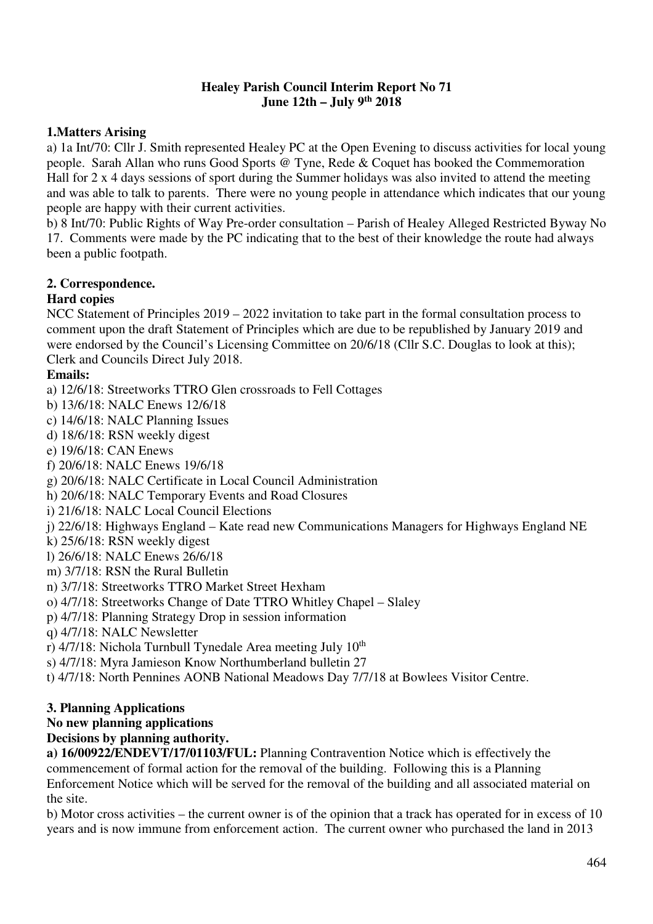## **Healey Parish Council Interim Report No 71 June 12th – July 9th 2018**

# **1.Matters Arising**

a) 1a Int/70: Cllr J. Smith represented Healey PC at the Open Evening to discuss activities for local young people. Sarah Allan who runs Good Sports @ Tyne, Rede & Coquet has booked the Commemoration Hall for 2 x 4 days sessions of sport during the Summer holidays was also invited to attend the meeting and was able to talk to parents. There were no young people in attendance which indicates that our young people are happy with their current activities.

b) 8 Int/70: Public Rights of Way Pre-order consultation – Parish of Healey Alleged Restricted Byway No 17. Comments were made by the PC indicating that to the best of their knowledge the route had always been a public footpath.

## **2. Correspondence.**

## **Hard copies**

NCC Statement of Principles 2019 – 2022 invitation to take part in the formal consultation process to comment upon the draft Statement of Principles which are due to be republished by January 2019 and were endorsed by the Council's Licensing Committee on 20/6/18 (Cllr S.C. Douglas to look at this); Clerk and Councils Direct July 2018.

## **Emails:**

- a) 12/6/18: Streetworks TTRO Glen crossroads to Fell Cottages
- b) 13/6/18: NALC Enews 12/6/18
- c) 14/6/18: NALC Planning Issues
- d) 18/6/18: RSN weekly digest
- e) 19/6/18: CAN Enews
- f) 20/6/18: NALC Enews 19/6/18
- g) 20/6/18: NALC Certificate in Local Council Administration
- h) 20/6/18: NALC Temporary Events and Road Closures
- i) 21/6/18: NALC Local Council Elections
- j) 22/6/18: Highways England Kate read new Communications Managers for Highways England NE
- k) 25/6/18: RSN weekly digest
- l) 26/6/18: NALC Enews 26/6/18
- m) 3/7/18: RSN the Rural Bulletin
- n) 3/7/18: Streetworks TTRO Market Street Hexham
- o) 4/7/18: Streetworks Change of Date TTRO Whitley Chapel Slaley
- p) 4/7/18: Planning Strategy Drop in session information
- q) 4/7/18: NALC Newsletter
- r) 4/7/18: Nichola Turnbull Tynedale Area meeting July 10<sup>th</sup>
- s) 4/7/18: Myra Jamieson Know Northumberland bulletin 27

t) 4/7/18: North Pennines AONB National Meadows Day 7/7/18 at Bowlees Visitor Centre.

## **3. Planning Applications**

**No new planning applications** 

# **Decisions by planning authority.**

**a) 16/00922/ENDEVT/17/01103/FUL:** Planning Contravention Notice which is effectively the commencement of formal action for the removal of the building. Following this is a Planning Enforcement Notice which will be served for the removal of the building and all associated material on the site.

b) Motor cross activities – the current owner is of the opinion that a track has operated for in excess of 10 years and is now immune from enforcement action. The current owner who purchased the land in 2013